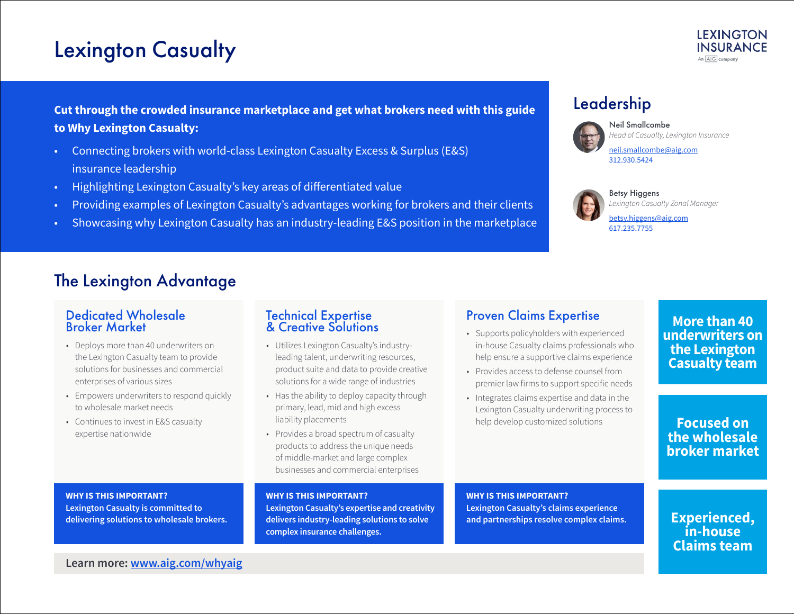# Lexington Casualty



### **Cut through the crowded insurance marketplace and get what brokers need with this guide to Why Lexington Casualty:**

- Connecting brokers with world-class Lexington Casualty Excess & Surplus (E&S) insurance leadership
- Highlighting Lexington Casualty's key areas of differentiated value
- Providing examples of Lexington Casualty's advantages working for brokers and their clients
- Showcasing why Lexington Casualty has an industry-leading E&S position in the marketplace

### Leadership



Neil Smallcombe *Head of Casualty, Lexington Insurance*

[neil.smallcombe@aig.com](mailto:neil.smallcombe%40aig.com?subject=) 312.930.5424



Betsy Higgens

*Lexington Casualty Zonal Manager*

[betsy.higgens@aig.com](mailto:betsy.higgens%40aig.com?subject=) 617.235.7755

## The Lexington Advantage

### Dedicated Wholesale Broker Market

- Deploys more than 40 underwriters on the Lexington Casualty team to provide solutions for businesses and commercial enterprises of various sizes
- Empowers underwriters to respond quickly to wholesale market needs
- Continues to invest in E&S casualty expertise nationwide

### Technical Expertise & Creative Solutions

- Utilizes Lexington Casualty's industryleading talent, underwriting resources, product suite and data to provide creative solutions for a wide range of industries
- Has the ability to deploy capacity through primary, lead, mid and high excess liability placements
- Provides a broad spectrum of casualty products to address the unique needs of middle-market and large complex businesses and commercial enterprises

### Proven Claims Expertise

- Supports policyholders with experienced in-house Casualty claims professionals who help ensure a supportive claims experience
- Provides access to defense counsel from premier law firms to support specific needs
- Integrates claims expertise and data in the Lexington Casualty underwriting process to help develop customized solutions

**More than 40 underwriters on the Lexington Casualty team**

**Focused on the wholesale broker market**

### **WHY IS THIS IMPORTANT?**

**Lexington Casualty is committed to delivering solutions to wholesale brokers.** 

#### **WHY IS THIS IMPORTANT?**

**Lexington Casualty's expertise and creativity delivers industry-leading solutions to solve complex insurance challenges.** 

#### **WHY IS THIS IMPORTANT?**

**Lexington Casualty's claims experience and partnerships resolve complex claims.**

**Experienced, in-house Claims team**